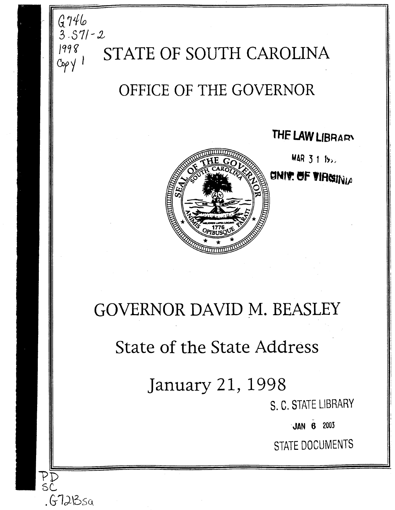

## State of the State Address

January 21, 1998

l'D sc.

 $.67$ 213 $\rm{sa}$ 

S. C. STATE LIBRARY

- ·JAN 6 2003

STATE DOCUMENTS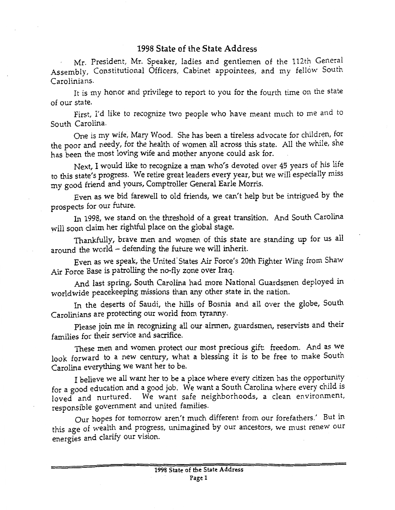## 1998 State of the State Address

Mr. President, Mr. Speaker, ladies and gentlemen of the 112th General Assembly, Constitutional Officers, Cabinet appointees, and my fellow South Carolinians.

It is my honor and privilege to report to you for the fourth time on the state of our state.

First, I'd like to recognize two people who have meant much to me and to South Carolina.

One is my wife, Mary Wood. She has been a tireless advocate for children, for the poor and needy, for the health of women all across this state. All the while, she has been the most loving wife and mother anyone could ask for.

Next, I would like *to* recognize a man who's devoted over 45 years of his life to this state's progress. We retire great leaders every year, but we will especially miss my good friend and yours, Comptroller General Earle Morris.

Even as we bid farewell to old friends, we can't help but be intrigued by the prospects for our future.

In 1998, we stand on the threshold of a great transition. And South Carolina will soon claim her rightful place on the globai stage.

Thankfully, brave men and women of this state are standing up for us all around the world - defending the future we will inherit.

Even as we speak, the United· States Air Force's 20th Fighter Wing from Shaw Air Force Base is patrolling the no-fly zone over Iraq.

And last spring, South Carolina had more National Guardsmen deployed in worldwide peacekeeping missions than any other state in the nation.

In the deserts of Saudi, the hills of Bosnia and all over the globe, South Carolinians are protecting our world from tyranny.

Please join me in recognizing all our airmen, guardsmen, reservists and their families for their service and sacrifice.

These men and women protect our most precious gift: freedom. And as we look forward to a new century, what a blessing it is to be free to make South Carolina everything we want her to be.

I believe we all want her to be a place where every citizen has the opportunity for a good education and a good job. We want a South Carolina where every child is loved and nurtured. We want safe neighborhoods, a clean environment, responsible government and united families.

Our hopes for tomorrow aren't much different from our forefathers.' But in this age of wealth and progress, unimagined by our ancestors, we must renew our energies and clarify our vision.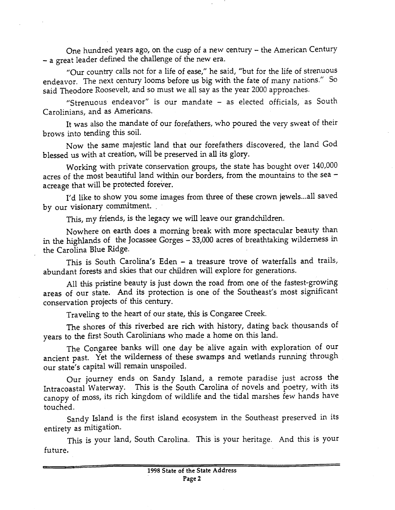One hundred years ago, on the cusp of a new century- the American Century -a great leader defined the challenge of the new era.

"Our country calls not for a life of ease," he said, "but for the life of strenuous endeavor. The next century looms before us big with the fate of many nations." So said Theodore Roosevelt, and so must we all say as the year 2000 approaches.

"Strenuous endeavor" is our mandate - as elected officials, as South Carolinians, and as Americans.

It was also the mandate of our forefathers, who poured the very sweat of their brows into tending this soil.

Now the same majestic land that our forefathers discovered, the land God blessed us with at creation, will be preserved in all its glory.

Working with private conservation groups, the state has bought over 140,000 acres of the most beautiful land within our borders, from the mountains to the sea acreage that will be protected forever.

I'd like to show you some images from three of these crown jewels ... all saved by our visionary commitment. .

This, my friends, is the legacy we will leave our grandchildren.

Nowhere on earth does a morning break with more spectacular beauty than in the highlands of the Jocassee Gorges - 33,000 acres of breathtaking wilderness in the Carolina Blue Ridge.

This is South Carolina's Eden - a treasure trove of waterfalls and trails, abundant forests and skies that our children will explore for generations.

All this pristine beauty is just down the road from one of the fastest-growing areas of our state. And its protection is one of the Southeast's most significant conservation projects of this century.

Traveling to the heart of our state, this is Congaree Creek.

The shores of this riverbed are rich with history, dating back thousands of years to the first South Carolinians who made a home on this land.

The Congaree banks will one day be alive again with exploration of our ancient past. Yet the wilderness of these swamps and wetlands running through our state's capital will remain unspoiled.

Our journey ends on Sandy Island, a remote paradise just across the Intracoastal Waterway. This is the South Carolina of novels and poetry, with its canopy of moss, its rich kingdom of wildlife and the tidal marshes few hands have touched.

Sandy Island is the first island ecosystem in the Southeast preserved in its entirety as mitigation.

This is your land, South Carolina. This is your heritage. And this is your future.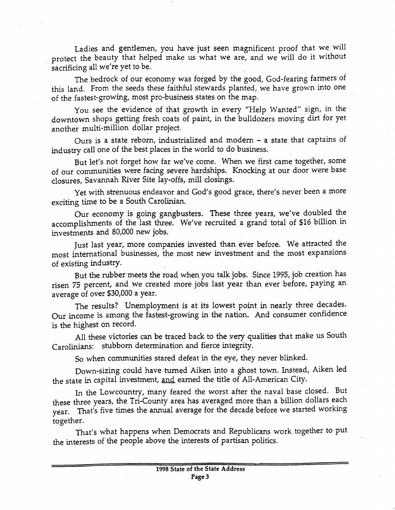Ladies and gentlemen, you have just seen magnificent proof that we will protect the beauty that helped make us what we are, and we will do it without sacrificing all we're yet to be.

The bedrock of our economy was forged by the good, God-fearing farmers of this land. From the seeds these faithful stewards planted, we have grown into one of the fastest-growing, most pro-business states on the map.

You see the evidence of that growth in every "Help Wanted" sign, in the downtown shops getting fresh coats of paint, in the bulldozers moving dirt for yet another multi-million dollar project.

Ours is a state reborn, industrialized and modem - a state that captains of industry call one of the best places in the world to do business.

But let's not forget how far we've come. When we first came together, some of our communities were facing severe hardships. Knocking at our door were base closures, Savannah River Site lay-offs, mill closings.

Yet with strenuous endeavor and God's good grace, there's never been a more exciting time to be a South Carolinian.

Our economy is going gangbusters. These three years, we've doubled the accomplishments of the last three. We've recruited a grand total of \$16 billion in investments and 80,000 new jobs.

Just last year, more companies invested than ever before. We attracted the most international businesses, the most new investment and the most expansions of existing industry.

But the rubber meets the road when you talk jobs. Since 1995, job creation has risen 75 percent, and we created more jobs last year than ever before, paying an average of over \$30,000 a year.

The results? Unemployment is at its lowest point in nearly three decades. Our income is among the fastest-growing in the nation. And consumer confidence is the highest on record.

All these victories can be traced back to the very qualities that make us South Carolinians: stubborn determination and fierce integrity.

So when communities stared defeat in the eye, they never blinked.

Down-sizing could have turned Aiken into a ghost town. Instead, Aiken led the state in capital investment, and earned the title of All-American City.

In the Lowcountry, many feared the worst after the naval base closed. But these three years, the Tri-County area has averaged more than a billion dollars each year. That's five times the annual average for the decade before we started working together.

That's what happens when Democrats and Republicans work together to put the interests of the people above the interests of partisan politics.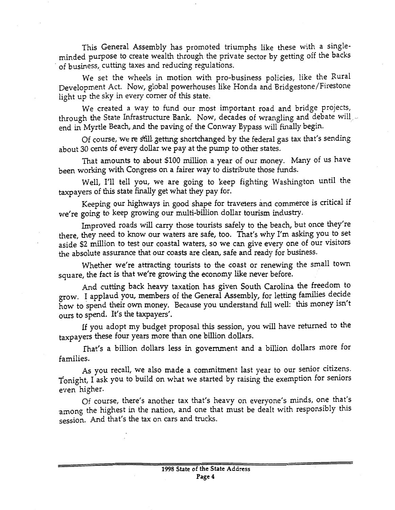This General Assembly has promoted triumphs like these with a singleminded purpose to create wealth through the private sector by getting off the backs of business, cutting taxes and reducing regulations.

We set the wheels in motion with pro-business policies, like the Rural Development Act. Now, global powerhouses like Honda and Bridgestone/Firestone light up the sky in every comer of this state.

We created a way to fund our most important road and bridge projects, through the State Infrastructure Bank. Now, decades of wrangling and debate will end in Myrtle Beach, and the paving of the Conway Bypass will finally begin.

Of course, we re still getting shortchanged by the federal gas tax that's sending about 30 cents of every dollar we pay at the pump to other states.

That amounts to about \$100 million a year of our money. Many of us have been working with Congress on a fairer way to distribute those funds.

Well, I'll tell you, we are going to keep fighting Washington until the taxpayers of this state finally get what they pay for.

Keeping our highways in good shape for travelers ana commerce is critical if we're going to keep growing our multi-billion dollar tourism industry.

Improved roads will carry those tourists safely to the beach, but once they're there, they need to know our waters are safe, too. That's why I'm asking you to set aside \$2 million to test our coastal waters, so we can give every one of our visitors the absolute assurance that our coasts are dean, safe and ready for business.

Whether we're attracting tourists to the coast or renewing the small town square, the fact is that we're growing the economy like never before.

And cutting back heavy taxation has given South Carolina the freedom to grow. I applaud you, members of the General Assembly, for letting families decide how to spend their own money. Because you understand full well: this money isn't ours to spend. It's the taxpayers'.

If you adopt my budget proposal this session, you will have returned to the taxpayers these four years more than one billion dollars.

fhat's a billion dollars less in government and a billion dollars more for families.

As you recall, we also made a commitment last year to our senior citizens. Tonight, I ask you to build on what we started by raising the exemption for seniors even higher.

Of course, there's another tax that's heavy on everyone's minds, one that's among the highest in the nation, and one that must be dealt with responsibly this session. And that's the tax on cars and trucks.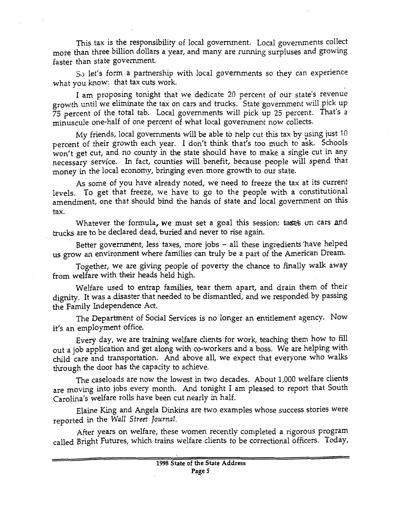This tax is the responsibility of local government. Local governments collect more than three billion dollars a year, and many are running surpluses and growing faster than state government.

s.) let's form a partnership with local governments so they cim experience what you know: that tax cuts work.

I am proposing tonight that we dedicate 20 percent of our state's revenue growth until we eliminate the tax on cars and trucks. State government will pick up 75 percent of the total tab. Local governments will pick up 25 percent. That's a minuscule one-half of one percent of what local government now collects.

My friends, local governments will be able to help cut this tax by using just  $10^\circ$ percent of their growth each year. I don't think that's too much to ask. Schools won't get cut, and no county in the state should have to make a single cut in any necessary service. In fact, counties will benefit, because people will spend that money in the local economy, bringing even more growth to our state.

As some of you have already noted, we need to freeze the tax at its current levels. To get that freeze, we have to go to the people with a constitutional amendment, one that should bind the hands of state and local government on this tax.

Whatever the formula, we must set a goal this session: tases on cars and .trucks are to be declared dead, buried and never to rise again.

Better government, less taxes, more jobs - all these ingredients have helped us grow an environment where families can truly be a part of the American Dream.

Together, we are giving people of poverty the chance to finally walk away from welfare with their heads held high.

Welfare used to entrap families, tear them apart, and drain them of their dignity. It was a disaster that needed to be dismantled, and we responded by passing the Family Independence Act.

The Department of Social Services is no longer an entitlement agency. Now it's an employment office.

Every day, we are training welfare clients for work, teaching them how to fill out a job application and get along with co-workers and a boss. We are helping with child care and transportation. And above all, we expect that everyone who walks through the door has the capacity to achieve.

The caseloads are now the lowest in two decades. About 1,000 welfare clients are moving into jobs every month. And tonight I am pleased to report that South Carolina's welfare rolls have been cut nearly in half.

Elaine King and Angela Dinkins are two examples whose success stories were reported in the *Wall Street Journal.* ·

After years on welfare, these women recently completed a rigorous program called Bright Futures, which trains welfare clients to be correctional officers. Today,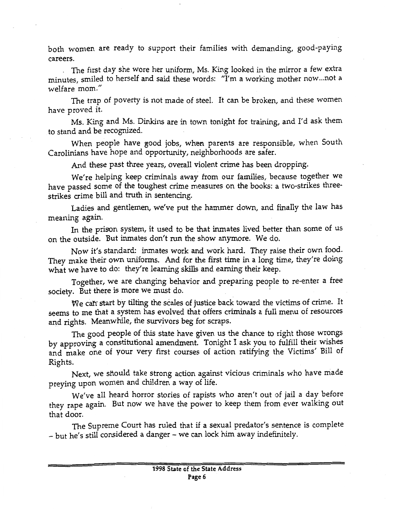both women are ready to support their families with demanding, good-paying careers.

. The first day she wore her uniform, Ms. King looked in the mirror a few extra minutes, smiled to herself and said these words: ''I'm a working mother now ... not a welfare mom."

The trap of poverty is not made of steel. It can be broken, and these women have proved it.

Ms. King and Ms. Dinkins are in town tonight for training, and I'd ask them to stand and be recognized.

When people have good jobs, when parents are responsible, when South Carolinians have hope and opportunity, neighborhoods are safer.

And these past three years, overall violent crime has been dropping.

We're helping keep criminals away from our families, because together we have passed some of the toughest crime measures on the books: a two-strikes threestrikes crime bill and truth in sentencing.

Ladies and gentlemen, we've put the hammer down, and finally the law has meaning again.

In the prison system, it used to be that inmates lived better than some of us on the outside. But inmates don't run the show anymore. We do.

Now it's standard: inmates work and work hard. They raise their own food. They make their own uniforms. And for the first time in a long time, they're doing what we have to do: they're learning skills and earning their keep.

Together, we are changing behavior and preparing people to re-enter a free society. But there is more we must do.

We can start by tilting the scales of justice back toward the victims of crime. It seems to me that a system has evolved that offers criminals a full menu of resources and rights. Meanwhile, the survivors beg for scraps.

The good people of this state have given us the chance to right those wrongs by approving a constitutional amendment. Tonight I ask you to fulfill their wishes and make one of your very first courses of action ratifying the Victims' Bill of Rights.

Next, we should take strong action against vicious criminals who have made preying upon women and children a way of life.

We've all heard horror stories of rapists who aren't out of jail a day before they rape again. But now we have the power to keep them from ever walking out that door.

The Supreme Court has ruled that if a sexual predator's sentence is complete - but he's still considered a danger - we can lock him away indefinitely.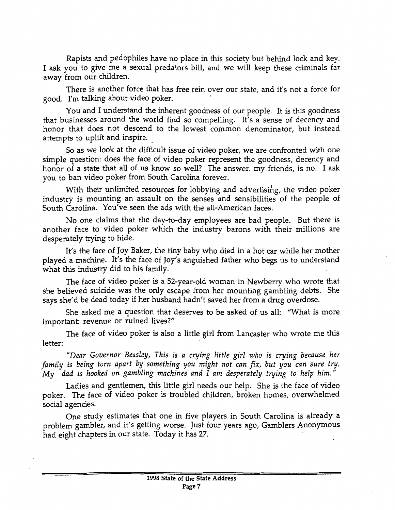Rapists and pedophiles have no place in this society but behind lock and key. I ask you to give me a sexual predators bill, and we will keep these criminals far away from our children.

There is another fotce that has free rein over our state, and it's not a force for good. I'm talking about video poker.

You and I understand the inherent goodness of our people. It is this goodness that businesses around the world find so compelling. It's a sense of decency and honor that does not descend to the lowest common denominator, but instead attempts to uplift and inspire.

So as we look at the difficult issue of video poker, we are confronted with one simple question: does the face of video poker represent the goodness, decency and honor of a state that all of us know so well? The answer, my friends, is no. I ask you to ban video poker from South Carolina forever.

With their unlimited resources for lobbying and advertising, the video poker industry is mounting an assault on the senses and sensibilities of the people of South Carolina. You've seen the ads with the all-American faces.

No one claims that the day-to-day employees are bad people. But there is another face to video poker which the industry barons with their millions are desperately trying to hide.

It's the face of Joy Baker, the tiny baby who died in a hot car while her mother played a machine. It's the face of Joy's anguished father who begs us to understand what this industry did to his family.

The face of video poker is a 52-year-old woman in Newberry who wrote that she believed suicide was the only escape from her mounting gambling debts. She says she'd be dead today if her husband hadn't saved her from a drug overdose.

She asked me a question that deserves to be asked of us all: "What is more important: revenue or ruined lives?"

The face of video poker is also a little girl from Lancaster who wrote me this letter:

*"Dear Governor Beasley, This is a crying little girl who is crying because her family is being torn apart by something you might not can fix, but you can sure try. My dad is hooked on gambling machines and I am desperately trying to help him."* 

Ladies and gentlemen, this little girl needs our help. She is the face of video poker. The face of video poker is troubled children, broken homes, overwhelmed social agencies.

One study estimates that one in five players in South Carolina is already a problem gambler, and it's getting worse. Just four years ago, Gamblers Anonymous had eight chapters in our state. Today it has 27.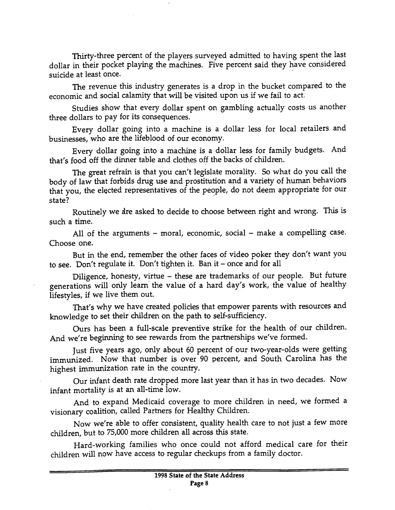Thirty-three percent of the players surveyed admitted to having spent the last dollar in their pocket playing the machines. Five percent said they have considered suicide at least once.

The revenue this industry generates is a drop in the bucket compared to the economic and social calamity that will be visited upon us if we fail to act.

Studies show that every dollar spent on gambling actually costs us another three dollars to pay for its consequences.

Every dollar going into a machine is a dollar less for local retailers and businesses, who are the lifeblood of our economy.

Every dollar going into a machine is a dollar less for family budgets. And that's food off the dinner table and clothes off the backs of children.

The great refrain is that you can't legislate morality. So what do you call the body of law that forbids drug use and prostitution and a variety of human behaviors that you, the elected representatives of the people, do not deem appropriate for our state?

Routinely we are asked to decide to choose between right and wrong. This is such a time.

All of the arguments  $-$  moral, economic, social  $-$  make a compelling case. Choose one.

But in the end, remember the other faces of video poker they don't want you to see. Don't regulate it. Don't tighten it. Ban it- once and for all

Diligence, honesty, virtue  $-$  these are trademarks of our people. But future generations will only learn the value of a hard day's work, the value of healthy lifestyles, if we live them out.

That's why we have created policies that empower parents with resources and knowledge to set their children on the path to self-sufficiency.

Ours has been a full-scale preventive strike for the health of our children. And we're beginning to see rewards from the partnerships we've formed.

Just five years ago, only about 60 percent of our two-year-olds were getting immunized. Now that number is over 90 percent, and South Carolina has the highest immunization rate in the country.

Our infant death rate dropped more last year than it has in two decades. Now infant mortality is at an all-time low.

And to expand Medicaid coverage to more children in need, we formed a visionary coalition, called Partners for Healthy Children.

Now we're able to offer consistent, quality health care to not just a few more children, but to 75,000 more children all across this state.

Hard-working families who once could not afford medical care for their children will now have access to regular checkups from a family doctor.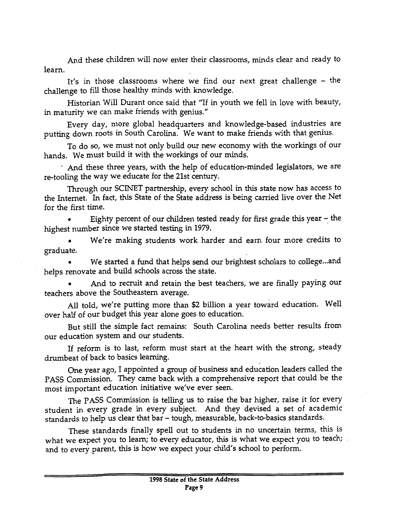And these children will now enter their classrooms, minds clear and ready to learn.

It's in those classrooms where we find our next great challenge – the challenge to fill those healthy minds with knowledge.

Historian Will Durant once said that "If in youth we fell in love with beauty, in maturity we can make friends with genius."

Every day, more global headquarters and knowledge-based industries are putting down roots in South Carolina. We want to make friends with that genius.

To do so, we must not only build our new economy with the workings of our hands. We must build it with the workings of our minds.

· And these three years, with the help o{education-minded legislators, we are re-tooling the way we educate for the 21st century.

Through our SCINET partnership, every school in this state now has access to the Internet. In fact, this State of the State address is being carried live over the Net for the first time.

Eighty percent of our children tested ready for first grade this year  $-$  the highest number since we started testing in 1979.

• We're making students work harder and earn four more credits to graduate.

We started a fund that helps send our brightest scholars to college...and helps renovate and build schools across the state.

• And to recruit and retain the best teachers, we are finally paying our teachers above the Southeastern average.

All told, we're putting more than \$2 billion a year toward education. Well over half of our budget this year alone goes to education.

But still the simple fact remains: South Carolina needs better results from our education system and our students.

If reform is to last, reform must start at the heart with the strong, steady drumbeat of back to basics learning.

One year ago, I appointed a group of business and education leaders called the PASS Commission. They came back with a comprehensive report that could be the most important education initiative we've ever seen.

The PASS Commission is telling us to raise the bar higher, raise it for every student in every grade in every subject. And they devised a set of academic standards to help us clear that bar- tough, measurable, back-to-basics standards.

These standards finally spell out to students in no uncertain terms, this is what we expect you to learn; to every educator, this is what we expect you to teach; and to every parent, this is how we expect your child's school to perform.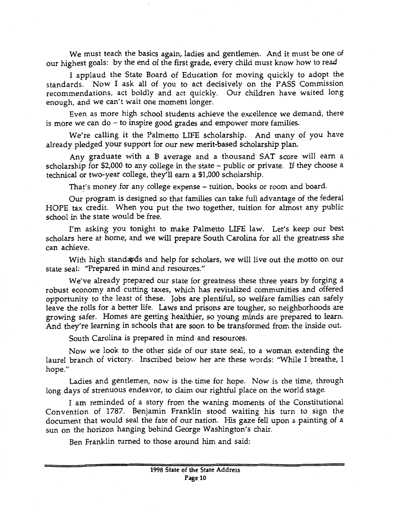We must teach the basics again, ladies and gentlemen. And it must be one of our highest goals: by the end of the first grade, every child must know how to read

I applaud the State Board of Education for moving quickly to adopt the standards. Now I ask all of you to act decisively on the PASS Commission recommendations, act boldly and act quickly. Our children have waited long enough, and we can't wait one moment longer.

Even as more high school students achieve the excellence we demand, there is more we can  $do - to$  inspire good grades and empower more families.

We're calling it the Palmetto LIFE scholarship. And many of you have already pledged your support for our new merit-based scholarship plan.

Any graduate with a B average and a thousand SAT score will earn a scholarship for \$2,000 to any college in the state - public or private. If they choose a technical or two-year college, they'll earn a \$1,000 scholarship.

That's money for any college expense- tuition, books or room and board.

Our program is designed so that families can take full advantage of the federal HOPE tax credit. When you put the two together, tuition for almost any public school in the state would be free.

I'm asking you tonight to make Palmetto LIFE law. Let's keep our best scholars here at home, and we will prepare South Carolina for all the greatness she can achieve.

With high standards and help for scholars, we will live out the motto on our state seal: "Prepared in mind and resources."

We've already prepared our state for greatness these three years by forging a robust economy and cutting taxes, which has revitalized communities and offered opportunity to the least of these. Jobs are plentiful, so welfare families can safely leave the rolls for a better life. Laws and prisons are tougher, so neighborhoods are growing safer. Homes are getting healthier, so young minds are prepared to learn. And they're learning in schools that are soon to be transformed from the inside out.

South Carolina is prepared in mind and resources.

Now we look to the other side of our state seal, to a woman extending the laurel branch of victory. Inscribed below her are these words: "While I breathe, I hope."

Ladies and gentlemen, now is the· time for hope. Now is the time, through long days of strenuous endeavor, to claim our rightful place on the world stage.

I am reminded of a story from the waning moments of the Constitutional Convention of 1787. Benjamin Franklin stood waiting his turn to sign the document that would seal the fate of our nation. His gaze fell upon a painting of a sun on the horizon hanging behind George Washington's chair.

Ben Franklin turned to those around him and said: